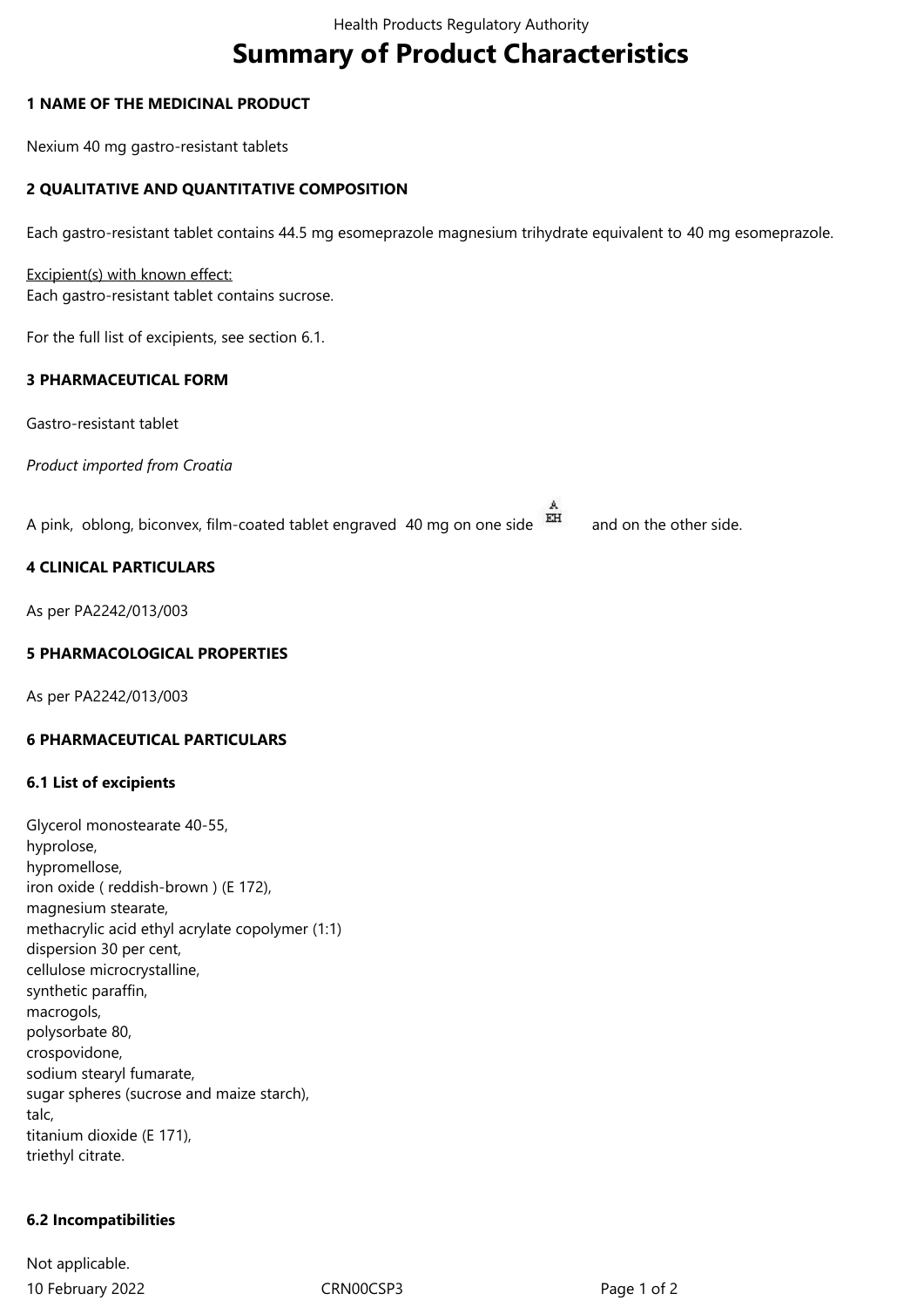# **Summary of Product Characteristics**

## **1 NAME OF THE MEDICINAL PRODUCT**

Nexium 40 mg gastro-resistant tablets

# **2 QUALITATIVE AND QUANTITATIVE COMPOSITION**

Each gastro-resistant tablet contains 44.5 mg esomeprazole magnesium trihydrate equivalent to 40 mg esomeprazole.

Excipient(s) with known effect: Each gastro-resistant tablet contains sucrose.

For the full list of excipients, see section 6.1.

#### **3 PHARMACEUTICAL FORM**

Gastro-resistant tablet

*Product imported from Croatia*

A pink, oblong, biconvex, film-coated tablet engraved 40 mg on one side  $\overline{H}$  and on the other side.

# **4 CLINICAL PARTICULARS**

As per PA2242/013/003

## **5 PHARMACOLOGICAL PROPERTIES**

As per PA2242/013/003

#### **6 PHARMACEUTICAL PARTICULARS**

#### **6.1 List of excipients**

Glycerol monostearate 40-55, hyprolose, hypromellose, iron oxide ( reddish-brown ) (E 172), magnesium stearate, methacrylic acid ethyl acrylate copolymer (1:1) dispersion 30 per cent, cellulose microcrystalline, synthetic paraffin, macrogols, polysorbate 80, crospovidone, sodium stearyl fumarate, sugar spheres (sucrose and maize starch), talc, titanium dioxide (E 171), triethyl citrate.

# **6.2 Incompatibilities**

10 February 2022 CRN00CSP3 Page 1 of 2 Not applicable.